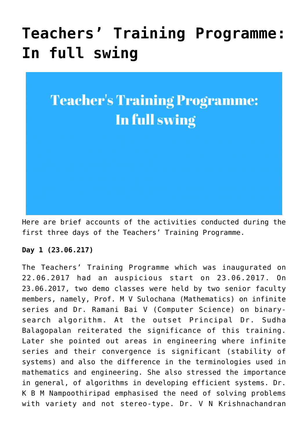# **[Teachers' Training Programme:](https://news.vidyaacademy.ac.in/2017/06/29/teachers-training-programme-in-full-swing/) [In full swing](https://news.vidyaacademy.ac.in/2017/06/29/teachers-training-programme-in-full-swing/)**

## **Teacher's Training Programme:** In full swing

Here are brief accounts of the activities conducted during the first three days of the Teachers' Training Programme.

#### **Day 1 (23.06.217)**

The Teachers' Training Programme which was inaugurated on 22.06.2017 had an auspicious start on 23.06.2017. On 23.06.2017, two demo classes were held by two senior faculty members, namely, Prof. M V Sulochana (Mathematics) on infinite series and Dr. Ramani Bai V (Computer Science) on binarysearch algorithm. At the outset Principal Dr. Sudha Balagopalan reiterated the significance of this training. Later she pointed out areas in engineering where infinite series and their convergence is significant (stability of systems) and also the difference in the terminologies used in mathematics and engineering. She also stressed the importance in general, of algorithms in developing efficient systems. Dr. K B M Nampoothiripad emphasised the need of solving problems with variety and not stereo-type. Dr. V N Krishnachandran